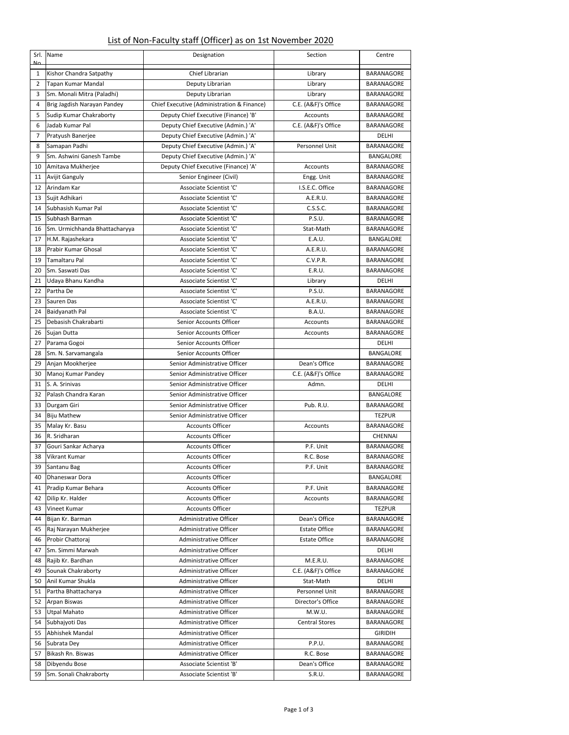## List of Non-Faculty staff (Officer) as on 1st November 2020

| Srl.           | Name                          | Designation                                | Section               | Centre            |
|----------------|-------------------------------|--------------------------------------------|-----------------------|-------------------|
| M <sub>o</sub> |                               |                                            |                       |                   |
| 1              | Kishor Chandra Satpathy       | Chief Librarian                            | Library               | BARANAGORE        |
| 2              | Tapan Kumar Mandal            | Deputy Librarian                           | Library               | BARANAGORE        |
| 3              | Sm. Monali Mitra (Paladhi)    | Deputy Librarian                           | Library               | BARANAGORE        |
| 4              | Brig Jagdish Narayan Pandey   | Chief Executive (Administration & Finance) | C.E. (A&F)'s Office   | BARANAGORE        |
| 5              | Sudip Kumar Chakraborty       | Deputy Chief Executive (Finance) 'B'       | Accounts              | BARANAGORE        |
| 6              | Jadab Kumar Pal               | Deputy Chief Executive (Admin.) 'A'        | C.E. (A&F)'s Office   | BARANAGORE        |
| 7              | Pratyush Banerjee             | Deputy Chief Executive (Admin.) 'A'        |                       | DELHI             |
| 8              | Samapan Padhi                 | Deputy Chief Executive (Admin.) 'A'        | Personnel Unit        | BARANAGORE        |
|                |                               |                                            |                       |                   |
| 9              | Sm. Ashwini Ganesh Tambe      | Deputy Chief Executive (Admin.) 'A'        |                       | <b>BANGALORE</b>  |
| 10             | Amitava Mukherjee             | Deputy Chief Executive (Finance) 'A'       | Accounts              | BARANAGORE        |
| 11             | <b>Avijit Ganguly</b>         | Senior Engineer (Civil)                    | Engg. Unit            | BARANAGORE        |
| 12             | Arindam Kar                   | Associate Scientist 'C'                    | I.S.E.C. Office       | BARANAGORE        |
| 13             | Sujit Adhikari                | Associate Scientist 'C'                    | A.E.R.U.              | BARANAGORE        |
| 14             | Subhasish Kumar Pal           | Associate Scientist 'C'                    | C.S.S.C.              | BARANAGORE        |
| 15             | Subhash Barman                | Associate Scientist 'C'                    | P.S.U.                | BARANAGORE        |
| 16             | Sm. Urmichhanda Bhattacharyya | Associate Scientist 'C'                    | Stat-Math             | BARANAGORE        |
| 17             | H.M. Rajashekara              | Associate Scientist 'C'                    | E.A.U.                | <b>BANGALORE</b>  |
| 18             | Prabir Kumar Ghosal           | Associate Scientist 'C'                    | A.E.R.U.              | BARANAGORE        |
| 19             | Tamaltaru Pal                 | Associate Scientist 'C'                    | C.V.P.R.              | BARANAGORE        |
| 20             | Sm. Saswati Das               | Associate Scientist 'C'                    | E.R.U.                | BARANAGORE        |
| 21             | Udaya Bhanu Kandha            | Associate Scientist 'C'                    | Library               | DELHI             |
| 22             | Partha De                     | Associate Scientist 'C'                    | P.S.U.                | <b>BARANAGORE</b> |
| 23             | Sauren Das                    | Associate Scientist 'C'                    | A.E.R.U.              | BARANAGORE        |
| 24             | Baidyanath Pal                | Associate Scientist 'C'                    | <b>B.A.U.</b>         | BARANAGORE        |
| 25             | Debasish Chakrabarti          | Senior Accounts Officer                    | Accounts              | BARANAGORE        |
| 26             | Sujan Dutta                   | Senior Accounts Officer                    | Accounts              | BARANAGORE        |
| 27             | Parama Gogoi                  | Senior Accounts Officer                    |                       | DELHI             |
| 28             | Sm. N. Sarvamangala           | Senior Accounts Officer                    |                       | <b>BANGALORE</b>  |
| 29             | Anjan Mookherjee              | Senior Administrative Officer              | Dean's Office         | BARANAGORE        |
| 30             | Manoj Kumar Pandey            | Senior Administrative Officer              | C.E. (A&F)'s Office   | BARANAGORE        |
| 31             | S. A. Srinivas                | Senior Administrative Officer              | Admn.                 | DELHI             |
| 32             | Palash Chandra Karan          | Senior Administrative Officer              |                       | BANGALORE         |
| 33             | Durgam Giri                   | Senior Administrative Officer              | Pub. R.U.             | BARANAGORE        |
| 34             | <b>Biju Mathew</b>            | Senior Administrative Officer              |                       | <b>TEZPUR</b>     |
| 35             | Malay Kr. Basu                | <b>Accounts Officer</b>                    | Accounts              | <b>BARANAGORE</b> |
| 36             | R. Sridharan                  | <b>Accounts Officer</b>                    |                       | CHENNAI           |
| 37             | Gouri Sankar Acharya          | <b>Accounts Officer</b>                    | P.F. Unit             | BARANAGORE        |
| 38             | <b>Vikrant Kumar</b>          | <b>Accounts Officer</b>                    | R.C. Bose             | <b>BARANAGORE</b> |
| 39             | Santanu Bag                   | <b>Accounts Officer</b>                    | P.F. Unit             | BARANAGORE        |
| 40             | Dhaneswar Dora                | <b>Accounts Officer</b>                    |                       | BANGALORE         |
| 41             | Pradip Kumar Behara           | <b>Accounts Officer</b>                    | P.F. Unit             | BARANAGORE        |
| 42             | Dilip Kr. Halder              | <b>Accounts Officer</b>                    | Accounts              | BARANAGORE        |
| 43             | Vineet Kumar                  | <b>Accounts Officer</b>                    |                       | <b>TEZPUR</b>     |
| 44             | Bijan Kr. Barman              | Administrative Officer                     | Dean's Office         | BARANAGORE        |
| 45             | Raj Narayan Mukherjee         | Administrative Officer                     | <b>Estate Office</b>  | BARANAGORE        |
| 46             | Probir Chattoraj              | Administrative Officer                     | <b>Estate Office</b>  | BARANAGORE        |
| 47             | Sm. Simmi Marwah              | Administrative Officer                     |                       | DELHI             |
| 48             | Rajib Kr. Bardhan             | Administrative Officer                     | M.E.R.U.              | BARANAGORE        |
| 49             | Sounak Chakraborty            | <b>Administrative Officer</b>              | C.E. (A&F)'s Office   | BARANAGORE        |
| 50             | Anil Kumar Shukla             | Administrative Officer                     | Stat-Math             | DELHI             |
| 51             | Partha Bhattacharya           | Administrative Officer                     | Personnel Unit        | BARANAGORE        |
|                |                               | Administrative Officer                     |                       |                   |
| 52             | Arpan Biswas                  |                                            | Director's Office     | BARANAGORE        |
| 53             | <b>Utpal Mahato</b>           | Administrative Officer                     | M.W.U.                | BARANAGORE        |
| 54             | Subhajyoti Das                | Administrative Officer                     | <b>Central Stores</b> | BARANAGORE        |
| 55             | Abhishek Mandal               | Administrative Officer                     |                       | <b>GIRIDIH</b>    |
| 56             | Subrata Dey                   | Administrative Officer                     | P.P.U.                | BARANAGORE        |
| 57             | Bikash Rn. Biswas             | Administrative Officer                     | R.C. Bose             | BARANAGORE        |
| 58             | Dibyendu Bose                 | Associate Scientist 'B'                    | Dean's Office         | BARANAGORE        |
| 59             | Sm. Sonali Chakraborty        | Associate Scientist 'B'                    | S.R.U.                | BARANAGORE        |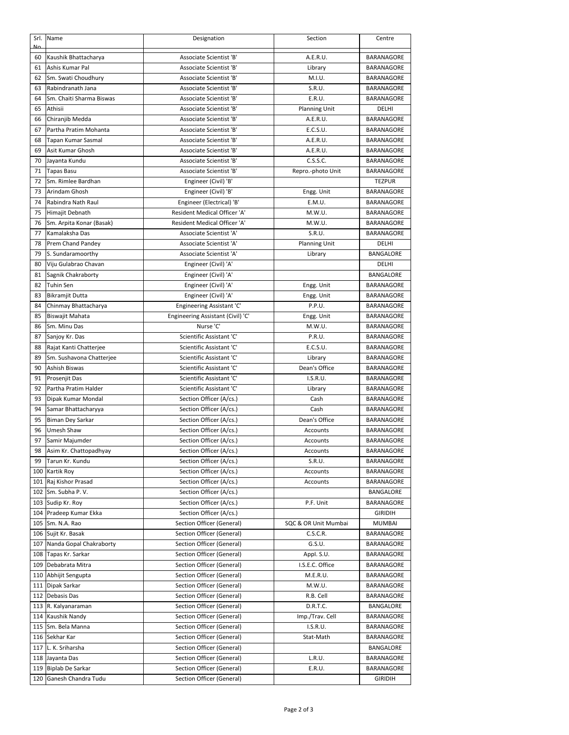| N <sub>0</sub> | Srl. Name                             | Designation                       | Section              | Centre            |
|----------------|---------------------------------------|-----------------------------------|----------------------|-------------------|
| 60             | Kaushik Bhattacharya                  | Associate Scientist 'B'           | A.E.R.U.             | <b>BARANAGORE</b> |
| 61             | Ashis Kumar Pal                       | Associate Scientist 'B'           | Library              | <b>BARANAGORE</b> |
| 62             | Sm. Swati Choudhury                   | Associate Scientist 'B'           | M.I.U.               | <b>BARANAGORE</b> |
| 63             | Rabindranath Jana                     | Associate Scientist 'B'           | S.R.U.               | <b>BARANAGORE</b> |
| 64             | Sm. Chaiti Sharma Biswas              | Associate Scientist 'B'           | E.R.U.               | <b>BARANAGORE</b> |
| 65             | Athisii                               | Associate Scientist 'B'           | <b>Planning Unit</b> | DELHI             |
| 66             | Chiranjib Medda                       | Associate Scientist 'B'           | A.E.R.U.             | <b>BARANAGORE</b> |
| 67             | Partha Pratim Mohanta                 | Associate Scientist 'B'           | E.C.S.U.             | BARANAGORE        |
| 68             | Tapan Kumar Sasmal                    | Associate Scientist 'B'           | A.E.R.U.             | <b>BARANAGORE</b> |
| 69             | Asit Kumar Ghosh                      | Associate Scientist 'B'           | A.E.R.U.             | <b>BARANAGORE</b> |
| 70             | Jayanta Kundu                         | Associate Scientist 'B'           | C.S.S.C.             | <b>BARANAGORE</b> |
| 71             | <b>Tapas Basu</b>                     | Associate Scientist 'B'           | Repro.-photo Unit    | <b>BARANAGORE</b> |
| 72             | Sm. Rimlee Bardhan                    | Engineer (Civil) 'B'              |                      | <b>TEZPUR</b>     |
| 73             | Arindam Ghosh                         | Engineer (Civil) 'B'              | Engg. Unit           | <b>BARANAGORE</b> |
| 74             | Rabindra Nath Raul                    | Engineer (Electrical) 'B'         | E.M.U.               | <b>BARANAGORE</b> |
| 75             | Himajit Debnath                       | Resident Medical Officer 'A'      | M.W.U.               | <b>BARANAGORE</b> |
| 76             | Sm. Arpita Konar (Basak)              | Resident Medical Officer 'A'      | M.W.U.               | BARANAGORE        |
| 77             | Kamalaksha Das                        | Associate Scientist 'A'           | S.R.U.               | <b>BARANAGORE</b> |
| 78             | Prem Chand Pandey                     | Associate Scientist 'A'           | <b>Planning Unit</b> | DELHI             |
| 79             | S. Sundaramoorthy                     | Associate Scientist 'A'           | Library              | <b>BANGALORE</b>  |
| 80             | Viju Gulabrao Chavan                  | Engineer (Civil) 'A'              |                      | DELHI             |
| 81             | Sagnik Chakraborty                    | Engineer (Civil) 'A'              |                      | <b>BANGALORE</b>  |
| 82             | Tuhin Sen                             | Engineer (Civil) 'A'              | Engg. Unit           | <b>BARANAGORE</b> |
| 83             | <b>Bikramjit Dutta</b>                | Engineer (Civil) 'A'              | Engg. Unit           | BARANAGORE        |
| 84             | Chinmay Bhattacharya                  | Engineering Assistant 'C'         | P.P.U.               | BARANAGORE        |
| 85             | <b>Biswajit Mahata</b>                | Engineering Assistant (Civil) 'C' | Engg. Unit           | BARANAGORE        |
| 86             | Sm. Minu Das                          | Nurse 'C'                         | M.W.U.               | BARANAGORE        |
| 87             | Sanjoy Kr. Das                        | Scientific Assistant 'C'          | P.R.U.               | <b>BARANAGORE</b> |
| 88             | Rajat Kanti Chatterjee                | Scientific Assistant 'C'          | E.C.S.U.             | <b>BARANAGORE</b> |
| 89             | Sm. Sushavona Chatterjee              | Scientific Assistant 'C'          | Library              | <b>BARANAGORE</b> |
| 90             | Ashish Biswas                         | Scientific Assistant 'C'          | Dean's Office        | <b>BARANAGORE</b> |
| 91             |                                       | Scientific Assistant 'C'          | I.S.R.U.             | BARANAGORE        |
| 92             | Prosenjit Das<br>Partha Pratim Halder | Scientific Assistant 'C'          |                      |                   |
|                |                                       |                                   | Library              | BARANAGORE        |
| 93             | Dipak Kumar Mondal                    | Section Officer (A/cs.)           | Cash                 | <b>BARANAGORE</b> |
| 94             | Samar Bhattacharyya                   | Section Officer (A/cs.)           | Cash                 | BARANAGORE        |
| 95             | Biman Dey Sarkar                      | Section Officer (A/cs.)           | Dean's Office        | <b>BARANAGORE</b> |
| 96             | Umesh Shaw                            | Section Officer (A/cs.)           | <b>Accounts</b>      | <b>BARANAGORE</b> |
| 97             | Samir Majumder                        | Section Officer (A/cs.)           | Accounts             | <b>BARANAGORE</b> |
| 98             | Asim Kr. Chattopadhyay                | Section Officer (A/cs.)           | Accounts             | BARANAGORE        |
| 99             | Tarun Kr. Kundu                       | Section Officer (A/cs.)           | S.R.U.               | BARANAGORE        |
|                | 100 Kartik Roy                        | Section Officer (A/cs.)           | Accounts             | BARANAGORE        |
| 101            | Raj Kishor Prasad                     | Section Officer (A/cs.)           | Accounts             | BARANAGORE        |
| 102            | Sm. Subha P.V.                        | Section Officer (A/cs.)           |                      | BANGALORE         |
|                | 103 Sudip Kr. Roy                     | Section Officer (A/cs.)           | P.F. Unit            | BARANAGORE        |
| 104            | Pradeep Kumar Ekka                    | Section Officer (A/cs.)           |                      | <b>GIRIDIH</b>    |
| 105            | Sm. N.A. Rao                          | Section Officer (General)         | SQC & OR Unit Mumbai | <b>MUMBAI</b>     |
| 106            | Sujit Kr. Basak                       | Section Officer (General)         | C.S.C.R.             | BARANAGORE        |
| 107            | Nanda Gopal Chakraborty               | Section Officer (General)         | G.S.U.               | BARANAGORE        |
|                | 108 Tapas Kr. Sarkar                  | Section Officer (General)         | Appl. S.U.           | BARANAGORE        |
|                | 109 Debabrata Mitra                   | Section Officer (General)         | I.S.E.C. Office      | BARANAGORE        |
|                | 110 Abhijit Sengupta                  | Section Officer (General)         | M.E.R.U.             | BARANAGORE        |
|                | 111 Dipak Sarkar                      | Section Officer (General)         | M.W.U.               | BARANAGORE        |
| 112            | Debasis Das                           | Section Officer (General)         | R.B. Cell            | BARANAGORE        |
| 113            | R. Kalyanaraman                       | Section Officer (General)         | D.R.T.C.             | BANGALORE         |
|                | 114 Kaushik Nandy                     | Section Officer (General)         | Imp./Trav. Cell      | BARANAGORE        |
| 115            | Sm. Bela Manna                        | Section Officer (General)         | I.S.R.U.             | BARANAGORE        |
|                | 116 Sekhar Kar                        | Section Officer (General)         | Stat-Math            | BARANAGORE        |
|                | 117 L. K. Sriharsha                   | Section Officer (General)         |                      | BANGALORE         |
|                | 118 Jayanta Das                       | Section Officer (General)         | L.R.U.               | BARANAGORE        |
|                | 119 Biplab De Sarkar                  | Section Officer (General)         | E.R.U.               | BARANAGORE        |
|                | 120 Ganesh Chandra Tudu               | Section Officer (General)         |                      | <b>GIRIDIH</b>    |